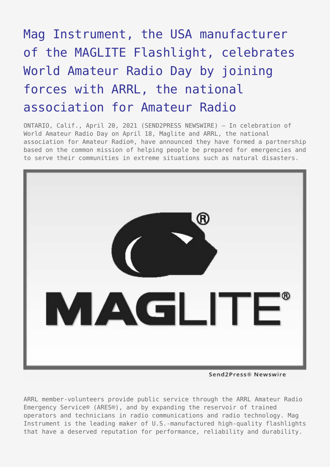## [Mag Instrument, the USA manufacturer](https://www.send2press.com/wire/mag-instrument-the-usa-manufacturer-of-the-maglite-flashlight-celebrates-world-amateur-radio-day-by-joining-forces-with-arrl-the-national-association-for-amateur-radio/) [of the MAGLITE Flashlight, celebrates](https://www.send2press.com/wire/mag-instrument-the-usa-manufacturer-of-the-maglite-flashlight-celebrates-world-amateur-radio-day-by-joining-forces-with-arrl-the-national-association-for-amateur-radio/) [World Amateur Radio Day by joining](https://www.send2press.com/wire/mag-instrument-the-usa-manufacturer-of-the-maglite-flashlight-celebrates-world-amateur-radio-day-by-joining-forces-with-arrl-the-national-association-for-amateur-radio/) [forces with ARRL, the national](https://www.send2press.com/wire/mag-instrument-the-usa-manufacturer-of-the-maglite-flashlight-celebrates-world-amateur-radio-day-by-joining-forces-with-arrl-the-national-association-for-amateur-radio/) [association for Amateur Radio](https://www.send2press.com/wire/mag-instrument-the-usa-manufacturer-of-the-maglite-flashlight-celebrates-world-amateur-radio-day-by-joining-forces-with-arrl-the-national-association-for-amateur-radio/)

ONTARIO, Calif., April 20, 2021 (SEND2PRESS NEWSWIRE) — In celebration of World Amateur Radio Day on April 18, Maglite and ARRL, the national association for Amateur Radio®, have announced they have formed a partnership based on the common mission of helping people be prepared for emergencies and to serve their communities in extreme situations such as natural disasters.



Send2Press® Newswire

ARRL member-volunteers provide public service through the ARRL Amateur Radio Emergency Service® (ARES®), and by expanding the reservoir of trained operators and technicians in radio communications and radio technology. Mag Instrument is the leading maker of U.S.-manufactured high-quality flashlights that have a deserved reputation for performance, reliability and durability.